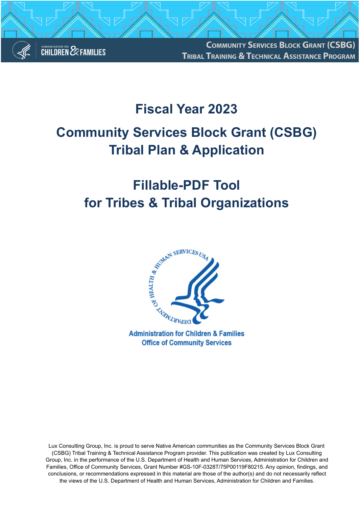

**COMMUNITY SERVICES BLOCK GRANT (CSBG) TRIBAL TRAINING & TECHNICAL ASSISTANCE PROGRAM** 

# **Fiscal Year 2023**

# **Community Services Block Grant (CSBG) Tribal Plan & Application**

# **Fillable-PDF Tool for Tribes & Tribal Organizations**



**Administration for Children & Families Office of Community Services** 

Lux Consulting Group, Inc. is proud to serve Native American communities as the Community Services Block Grant (CSBG) Tribal Training & Technical Assistance Program provider. This publication was created by Lux Consulting Group, Inc. in the performance of the U.S. Department of Health and Human Services, Administration for Children and Families, Office of Community Services, Grant Number #GS-10F-0328T/75P00119F80215. Any opinion, findings, and conclusions, or recommendations expressed in this material are those of the author(s) and do not necessarily reflect the views of the U.S. Department of Health and Human Services, Administration for Children and Families.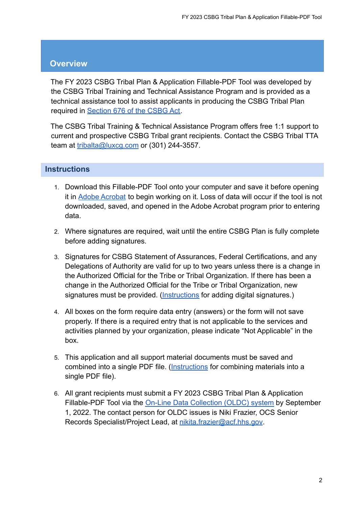## **Overview**

The FY 2023 CSBG Tribal Plan & Application Fillable-PDF Tool was developed by the CSBG Tribal Training and Technical Assistance Program and is provided as a technical assistance tool to assist applicants in producing the CSBG Tribal Plan required in [Section 676 of the CSBG Act.](https://csbgtribalta.com/wp-content/uploads/2021/03/Community-Services-Block-Grant-Act-10.27.1998.pdf#page=8)

The CSBG Tribal Training & Technical Assistance Program offers free 1:1 support to current and prospective CSBG Tribal grant recipients. Contact the CSBG Tribal TTA team at [tribalta@luxcg.com](mailto:tribalta@luxcg.com) or (301) 244-3557.

## **Instructions**

- 1. Download this Fillable-PDF Tool onto your computer and save it before opening it in [Adobe Acrobat](http://get.adobe.com/reader/otherversions) to begin working on it. Loss of data will occur if the tool is not downloaded, saved, and opened in the Adobe Acrobat program prior to entering data.
- 2. Where signatures are required, wait until the entire CSBG Plan is fully complete before adding signatures.
- 3. Signatures for CSBG Statement of Assurances, Federal Certifications, and any Delegations of Authority are valid for up to two years unless there is a change in the Authorized Official for the Tribe or Tribal Organization. If there has been a change in the Authorized Official for the Tribe or Tribal Organization, new signatures must be provided. [\(Instructions](https://helpx.adobe.com/acrobat/using/signing-pdfs.html) for adding digital signatures.)
- 4. All boxes on the form require data entry (answers) or the form will not save properly. If there is a required entry that is not applicable to the services and activities planned by your organization, please indicate "Not Applicable" in the box.
- 5. This application and all support material documents must be saved and combined into a single PDF file. ([Instructions](#page-44-0) for combining materials into a single PDF file).
- 6. All grant recipients must submit a FY 2023 CSBG Tribal Plan & Application Fillable-PDF Tool via the [On-Line Data Collection \(OLDC\) system](#page-45-0) by September 1, 2022. The contact person for OLDC issues is Niki Frazier, OCS Senior Records Specialist/Project Lead, at [nikita.frazier@acf.hhs.gov](mailto:nikita.frazier@acf.hhs.gov).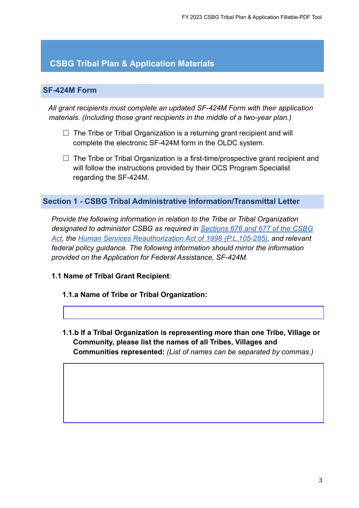## **CSBG Tribal Plan & Application Materials**

## **SF-424M Form**

*All grant recipients must complete an updated SF-424M Form with their application materials. (Including those grant recipients in the middle of a two-year plan.)*

- $\Box$  The Tribe or Tribal Organization is a returning grant recipient and will complete the electronic SF-424M form in the OLDC system.
- $\Box$  The Tribe or Tribal Organization is a first-time/prospective grant recipient and will follow the instructions provided by their OCS Program Specialist regarding the SF-424M.

## **Section 1 - CSBG Tribal Administrative Information/Transmittal Letter**

*Provide the following information in relation to the Tribe or Tribal Organization designated to administer CSBG as required in [Sections 676 and 677 of the CSBG](https://csbgtribalta.com/wp-content/uploads/2021/03/Community-Services-Block-Grant-Act-10.27.1998.pdf#page=8) [Act,](https://csbgtribalta.com/wp-content/uploads/2021/03/Community-Services-Block-Grant-Act-10.27.1998.pdf#page=8) the [Human Services Reauthorization Act of 1998 \(P.L.105-285\)](https://csbgtribalta.com/wp-content/uploads/2021/03/Community-Services-Block-Grant-Act-10.27.1998.pdf#page=8), and relevant federal policy guidance. The following information should mirror the information provided on the Application for Federal Assistance, SF-424M.*

#### **1.1 Name of Tribal Grant Recipient**:

#### **1.1.a Name of Tribe or Tribal Organization:**

**1.1.b If a Tribal Organization is representing more than one Tribe, Village or Community, please list the names of all Tribes, Villages and Communities represented:** *(List of names can be separated by commas.)*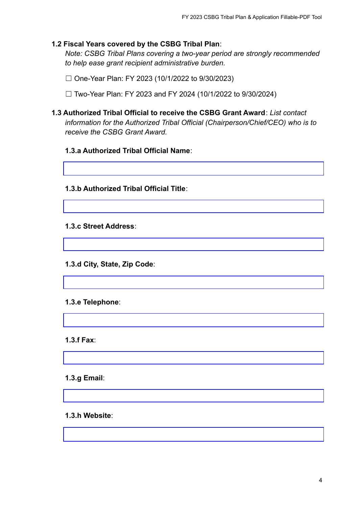### **1.2 Fiscal Years covered by the CSBG Tribal Plan**:

*Note: CSBG Tribal Plans covering a two-year period are strongly recommended to help ease grant recipient administrative burden.*

☐ One-Year Plan: FY 2023 (10/1/2022 to 9/30/2023)

☐ Two-Year Plan: FY 2023 and FY 2024 (10/1/2022 to 9/30/2024)

**1.3 Authorized Tribal Official to receive the CSBG Grant Award**: *List contact information for the Authorized Tribal Official (Chairperson/Chief/CEO) who is to receive the CSBG Grant Award.*

#### **1.3.a Authorized Tribal Official Name**:

#### **1.3.b Authorized Tribal Official Title**:

#### **1.3.c Street Address**:

**1.3.d City, State, Zip Code**:

#### **1.3.e Telephone**:

**1.3.f Fax**:

#### **1.3.g Email**:

#### **1.3.h Website**: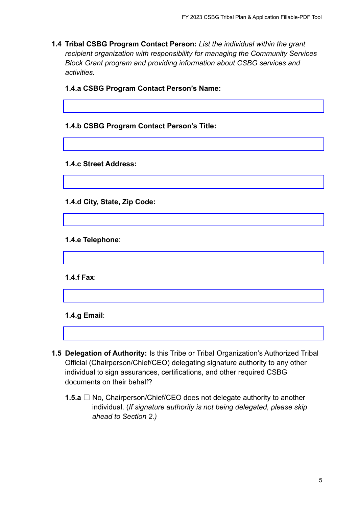- **1.4 Tribal CSBG Program Contact Person:** *List the individual within the grant recipient organization with responsibility for managing the Community Services Block Grant program and providing information about CSBG services and activities.*
	- **1.4.a CSBG Program Contact Person's Name:**

**1.4.b CSBG Program Contact Person's Title:**

**1.4.c Street Address:**

**1.4.d City, State, Zip Code:**

**1.4.e Telephone**:

**1.4.f Fax**:

**1.4.g Email**:

- **1.5 Delegation of Authority:** Is this Tribe or Tribal Organization's Authorized Tribal Official (Chairperson/Chief/CEO) delegating signature authority to any other individual to sign assurances, certifications, and other required CSBG documents on their behalf?
	- **1.5.a** □ No, Chairperson/Chief/CEO does not delegate authority to another individual. (*If signature authority is not being delegated, please skip ahead to Section 2.)*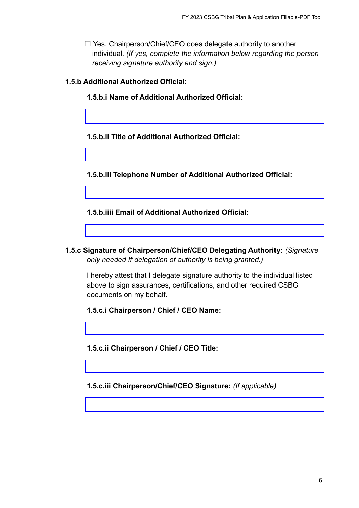□ Yes, Chairperson/Chief/CEO does delegate authority to another individual. *(If yes, complete the information below regarding the person receiving signature authority and sign.)*

#### **1.5.b Additional Authorized Official:**

- **1.5.b.i Name of Additional Authorized Official:**
- **1.5.b.ii Title of Additional Authorized Official:**

**1.5.b.iii Telephone Number of Additional Authorized Official:**

**1.5.b.iiii Email of Additional Authorized Official:**

**1.5.c Signature of Chairperson/Chief/CEO Delegating Authority:** *(Signature only needed If delegation of authority is being granted.)*

I hereby attest that I delegate signature authority to the individual listed above to sign assurances, certifications, and other required CSBG documents on my behalf.

**1.5.c.i Chairperson / Chief / CEO Name:**

**1.5.c.ii Chairperson / Chief / CEO Title:**

**1.5.c.iii Chairperson/Chief/CEO Signature:** *(If applicable)*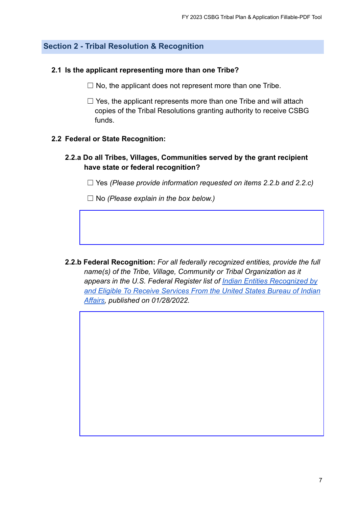## **Section 2 - Tribal Resolution & Recognition**

#### **2.1 Is the applicant representing more than one Tribe?**

- $\Box$  No, the applicant does not represent more than one Tribe.
- $\Box$  Yes, the applicant represents more than one Tribe and will attach copies of the Tribal Resolutions granting authority to receive CSBG funds.

#### **2.2 Federal or State Recognition:**

- **2.2.a Do all Tribes, Villages, Communities served by the grant recipient have state or federal recognition?**
	- ☐ Yes *(Please provide information requested on items 2.2.b and 2.2.c)*
	- ☐ No *(Please explain in the box below.)*

**2.2.b Federal Recognition:** *For all federally recognized entities, provide the full name(s) of the Tribe, Village, Community or Tribal Organization as it appears in the U.S. Federal Register list of [Indian Entities Recognized by](https://www.federalregister.gov/documents/2022/01/28/2022-01789/indian-entities-recognized-by-and-eligible-to-receive-services-from-the-united-states-bureau-of) [and Eligible To Receive Services From the United States Bureau of Indian](https://www.federalregister.gov/documents/2022/01/28/2022-01789/indian-entities-recognized-by-and-eligible-to-receive-services-from-the-united-states-bureau-of) [Affairs,](https://www.federalregister.gov/documents/2022/01/28/2022-01789/indian-entities-recognized-by-and-eligible-to-receive-services-from-the-united-states-bureau-of) published on 01/28/2022.*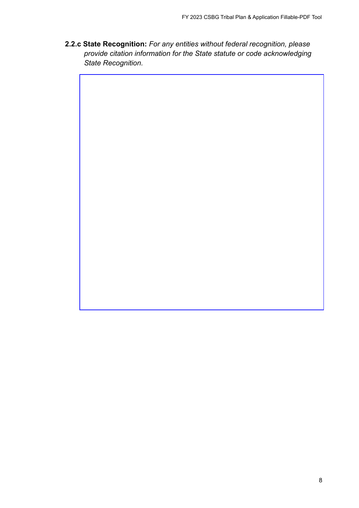**2.2.c State Recognition:** *For any entities without federal recognition, please provide citation information for the State statute or code acknowledging State Recognition.*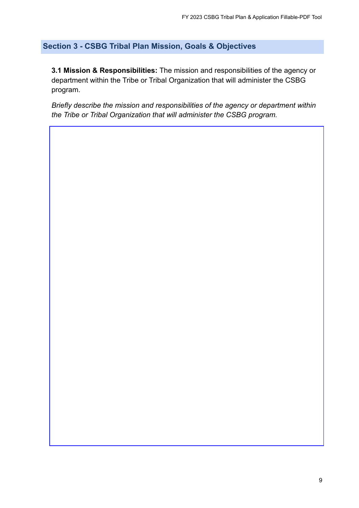## **Section 3 - CSBG Tribal Plan Mission, Goals & Objectives**

**3.1 Mission & Responsibilities:** The mission and responsibilities of the agency or department within the Tribe or Tribal Organization that will administer the CSBG program.

*Briefly describe the mission and responsibilities of the agency or department within the Tribe or Tribal Organization that will administer the CSBG program.*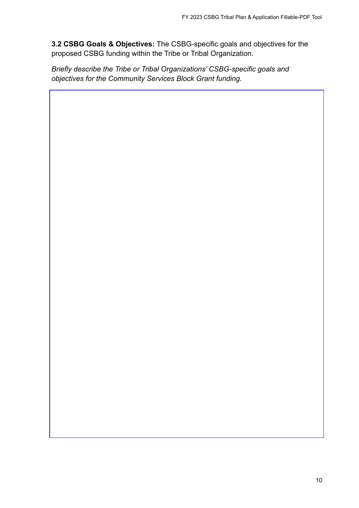**3.2 CSBG Goals & Objectives:** The CSBG-specific goals and objectives for the proposed CSBG funding within the Tribe or Tribal Organization.

*Briefly describe the Tribe or Tribal Organizations' CSBG-specific goals and objectives for the Community Services Block Grant funding.*

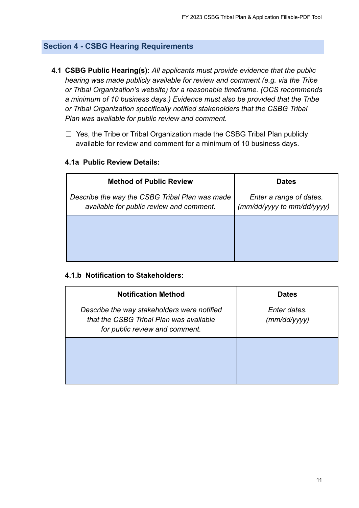## **Section 4 - CSBG Hearing Requirements**

- **4.1 CSBG Public Hearing(s):** *All applicants must provide evidence that the public hearing was made publicly available for review and comment (e.g. via the Tribe or Tribal Organization's website) for a reasonable timeframe. (OCS recommends a minimum of 10 business days.) Evidence must also be provided that the Tribe or Tribal Organization specifically notified stakeholders that the CSBG Tribal Plan was available for public review and comment.*
	- □ Yes, the Tribe or Tribal Organization made the CSBG Tribal Plan publicly available for review and comment for a minimum of 10 business days.

#### **4.1a Public Review Details:**

| <b>Method of Public Review</b>                                                             | <b>Dates</b>                                          |
|--------------------------------------------------------------------------------------------|-------------------------------------------------------|
| Describe the way the CSBG Tribal Plan was made<br>available for public review and comment. | Enter a range of dates.<br>(mm/dd/yyyy to mm/dd/yyyy) |
|                                                                                            |                                                       |
|                                                                                            |                                                       |

#### **4.1.b Notification to Stakeholders:**

| <b>Notification Method</b>                                                                                               | <b>Dates</b>                 |
|--------------------------------------------------------------------------------------------------------------------------|------------------------------|
| Describe the way stakeholders were notified<br>that the CSBG Tribal Plan was available<br>for public review and comment. | Enter dates.<br>(mm/dd/yyyy) |
|                                                                                                                          |                              |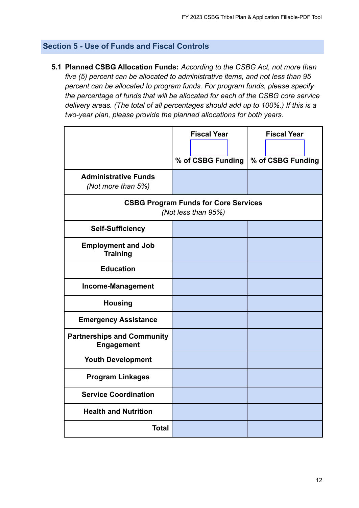## **Section 5 - Use of Funds and Fiscal Controls**

**5.1 Planned CSBG Allocation Funds:** *According to the CSBG Act, not more than five (5) percent can be allocated to administrative items, and not less than 95 percent can be allocated to program funds. For program funds, please specify the percentage of funds that will be allocated for each of the CSBG core service delivery areas. (The total of all percentages should add up to 100%.) If this is a two-year plan, please provide the planned allocations for both years.*

|                                                                    | <b>Fiscal Year</b><br>% of CSBG Funding | <b>Fiscal Year</b><br>% of CSBG Funding |
|--------------------------------------------------------------------|-----------------------------------------|-----------------------------------------|
| <b>Administrative Funds</b><br>(Not more than 5%)                  |                                         |                                         |
| <b>CSBG Program Funds for Core Services</b><br>(Not less than 95%) |                                         |                                         |
| <b>Self-Sufficiency</b>                                            |                                         |                                         |
| <b>Employment and Job</b><br><b>Training</b>                       |                                         |                                         |
| <b>Education</b>                                                   |                                         |                                         |
| <b>Income-Management</b>                                           |                                         |                                         |
| <b>Housing</b>                                                     |                                         |                                         |
| <b>Emergency Assistance</b>                                        |                                         |                                         |
| <b>Partnerships and Community</b><br>Engagement                    |                                         |                                         |
| <b>Youth Development</b>                                           |                                         |                                         |
| <b>Program Linkages</b>                                            |                                         |                                         |
| <b>Service Coordination</b>                                        |                                         |                                         |
| <b>Health and Nutrition</b>                                        |                                         |                                         |
| <b>Total</b>                                                       |                                         |                                         |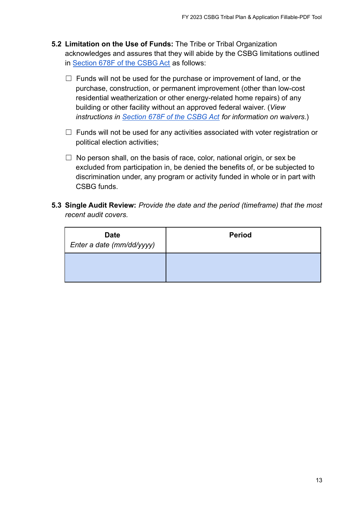- **5.2 Limitation on the Use of Funds:** The Tribe or Tribal Organization acknowledges and assures that they will abide by the CSBG limitations outlined in [Section 678F of the CSBG Act](https://csbgtribalta.com/wp-content/uploads/2021/03/Community-Services-Block-Grant-Act-10.27.1998.pdf#page=8) as follows:
	- $\Box$  Funds will not be used for the purchase or improvement of land, or the purchase, construction, or permanent improvement (other than low-cost residential weatherization or other energy-related home repairs) of any building or other facility without an approved federal waiver. (*View instructions in [Section 678F of the CSBG Act](https://csbgtribalta.com/wp-content/uploads/2021/03/Community-Services-Block-Grant-Act-10.27.1998.pdf#page=8) for information on waivers.*)
	- $\Box$  Funds will not be used for any activities associated with voter registration or political election activities;
	- $\Box$  No person shall, on the basis of race, color, national origin, or sex be excluded from participation in, be denied the benefits of, or be subjected to discrimination under, any program or activity funded in whole or in part with CSBG funds.
- **5.3 Single Audit Review:** *Provide the date and the period (timeframe) that the most recent audit covers.*

| <b>Date</b><br>Enter a date (mm/dd/yyyy) | <b>Period</b> |
|------------------------------------------|---------------|
|                                          |               |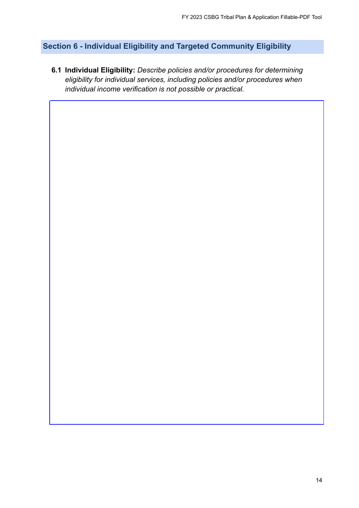# **Section 6 - Individual Eligibility and Targeted Community Eligibility**

**6.1 Individual Eligibility:** *Describe policies and/or procedures for determining eligibility for individual services, including policies and/or procedures when individual income verification is not possible or practical.*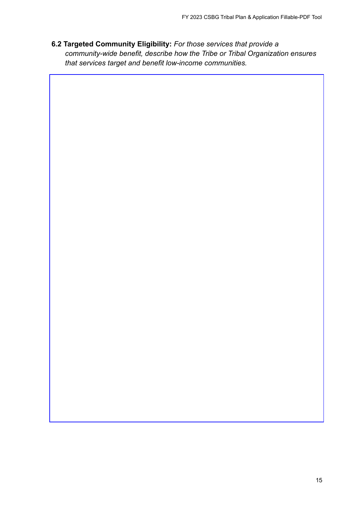**6.2 Targeted Community Eligibility:** *For those services that provide a community-wide benefit, describe how the Tribe or Tribal Organization ensures that services target and benefit low-income communities.*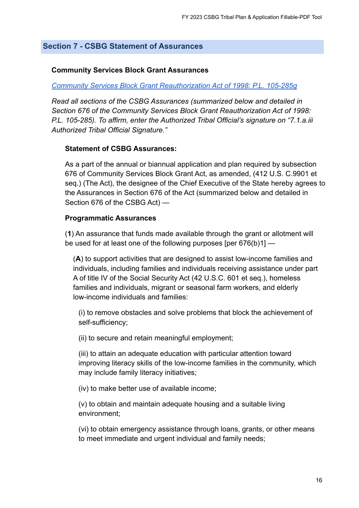## **Section 7 - CSBG Statement of Assurances**

#### **Community Services Block Grant Assurances**

*[Community Services Block Grant Reauthorization Act of 1998: P.L. 105-285g](https://csbgtribalta.com/wp-content/uploads/2021/03/Community-Services-Block-Grant-Act-10.27.1998.pdf)*

*Read all sections of the CSBG Assurances (summarized below and detailed in Section 676 of the Community Services Block Grant Reauthorization Act of 1998: P.L. 105-285). To affirm, enter the Authorized Tribal Official's signature on "7.1.a.iii Authorized Tribal Official Signature."*

#### **Statement of CSBG Assurances:**

As a part of the annual or biannual application and plan required by subsection 676 of Community Services Block Grant Act, as amended, (412 U.S. C.9901 et seq.) (The Act), the designee of the Chief Executive of the State hereby agrees to the Assurances in Section 676 of the Act (summarized below and detailed in Section 676 of the CSBG Act) —

#### **Programmatic Assurances**

(**1**) An assurance that funds made available through the grant or allotment will be used for at least one of the following purposes [per 676(b)1] —

(**A**) to support activities that are designed to assist low-income families and individuals, including families and individuals receiving assistance under part A of title IV of the Social Security Act (42 U.S.C. 601 et seq.), homeless families and individuals, migrant or seasonal farm workers, and elderly low-income individuals and families:

(i) to remove obstacles and solve problems that block the achievement of self-sufficiency;

(ii) to secure and retain meaningful employment;

(iii) to attain an adequate education with particular attention toward improving literacy skills of the low-income families in the community, which may include family literacy initiatives;

(iv) to make better use of available income;

(v) to obtain and maintain adequate housing and a suitable living environment;

(vi) to obtain emergency assistance through loans, grants, or other means to meet immediate and urgent individual and family needs;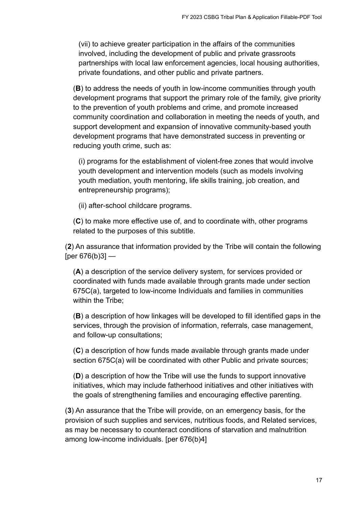(vii) to achieve greater participation in the affairs of the communities involved, including the development of public and private grassroots partnerships with local law enforcement agencies, local housing authorities, private foundations, and other public and private partners.

(**B**) to address the needs of youth in low-income communities through youth development programs that support the primary role of the family, give priority to the prevention of youth problems and crime, and promote increased community coordination and collaboration in meeting the needs of youth, and support development and expansion of innovative community-based youth development programs that have demonstrated success in preventing or reducing youth crime, such as:

(i) programs for the establishment of violent-free zones that would involve youth development and intervention models (such as models involving youth mediation, youth mentoring, life skills training, job creation, and entrepreneurship programs);

(ii) after-school childcare programs.

(**C**) to make more effective use of, and to coordinate with, other programs related to the purposes of this subtitle.

(**2**) An assurance that information provided by the Tribe will contain the following [per  $676(b)3]$  —

(**A**) a description of the service delivery system, for services provided or coordinated with funds made available through grants made under section 675C(a), targeted to low-income Individuals and families in communities within the Tribe;

(**B**) a description of how linkages will be developed to fill identified gaps in the services, through the provision of information, referrals, case management, and follow-up consultations;

(**C**) a description of how funds made available through grants made under section 675C(a) will be coordinated with other Public and private sources;

(**D**) a description of how the Tribe will use the funds to support innovative initiatives, which may include fatherhood initiatives and other initiatives with the goals of strengthening families and encouraging effective parenting.

(**3**) An assurance that the Tribe will provide, on an emergency basis, for the provision of such supplies and services, nutritious foods, and Related services, as may be necessary to counteract conditions of starvation and malnutrition among low-income individuals. [per 676(b)4]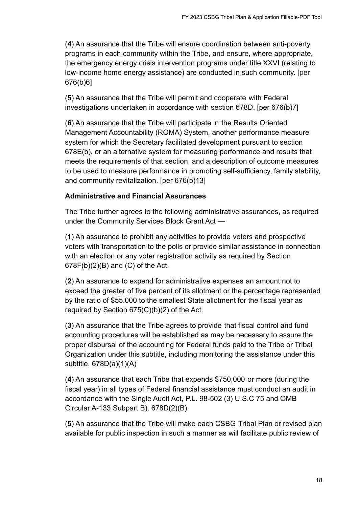(**4**) An assurance that the Tribe will ensure coordination between anti-poverty programs in each community within the Tribe, and ensure, where appropriate, the emergency energy crisis intervention programs under title XXVI (relating to low-income home energy assistance) are conducted in such community. [per 676(b)6]

(**5**) An assurance that the Tribe will permit and cooperate with Federal investigations undertaken in accordance with section 678D. [per 676(b)7]

(**6**) An assurance that the Tribe will participate in the Results Oriented Management Accountability (ROMA) System, another performance measure system for which the Secretary facilitated development pursuant to section 678E(b), or an alternative system for measuring performance and results that meets the requirements of that section, and a description of outcome measures to be used to measure performance in promoting self-sufficiency, family stability, and community revitalization. [per 676(b)13]

## **Administrative and Financial Assurances**

The Tribe further agrees to the following administrative assurances, as required under the Community Services Block Grant Act —

(**1**) An assurance to prohibit any activities to provide voters and prospective voters with transportation to the polls or provide similar assistance in connection with an election or any voter registration activity as required by Section  $678F(b)(2)(B)$  and  $(C)$  of the Act.

(**2**) An assurance to expend for administrative expenses an amount not to exceed the greater of five percent of its allotment or the percentage represented by the ratio of \$55.000 to the smallest State allotment for the fiscal year as required by Section 675(C)(b)(2) of the Act.

(**3**) An assurance that the Tribe agrees to provide that fiscal control and fund accounting procedures will be established as may be necessary to assure the proper disbursal of the accounting for Federal funds paid to the Tribe or Tribal Organization under this subtitle, including monitoring the assistance under this subtitle. 678D(a)(1)(A)

(**4**) An assurance that each Tribe that expends \$750,000 or more (during the fiscal year) in all types of Federal financial assistance must conduct an audit in accordance with the Single Audit Act, P.L. 98-502 (3) U.S.C 75 and OMB Circular A-133 Subpart B). 678D(2)(B)

(**5**) An assurance that the Tribe will make each CSBG Tribal Plan or revised plan available for public inspection in such a manner as will facilitate public review of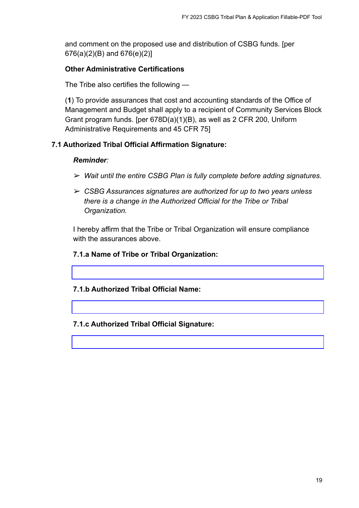and comment on the proposed use and distribution of CSBG funds. [per 676(a)(2)(B) and 676(e)(2)]

#### **Other Administrative Certifications**

The Tribe also certifies the following —

(**1**) To provide assurances that cost and accounting standards of the Office of Management and Budget shall apply to a recipient of Community Services Block Grant program funds. [per 678D(a)(1)(B), as well as 2 CFR 200, Uniform Administrative Requirements and 45 CFR 75]

#### **7.1 Authorized Tribal Official Affirmation Signature:**

#### *Reminder:*

- ➢ *Wait until the entire CSBG Plan is fully complete before adding signatures.*
- ➢ *CSBG Assurances signatures are authorized for up to two years unless there is a change in the Authorized Official for the Tribe or Tribal Organization.*

I hereby affirm that the Tribe or Tribal Organization will ensure compliance with the assurances above.

#### **7.1.a Name of Tribe or Tribal Organization:**

#### **7.1.b Authorized Tribal Official Name:**

## **7.1.c Authorized Tribal Official Signature:**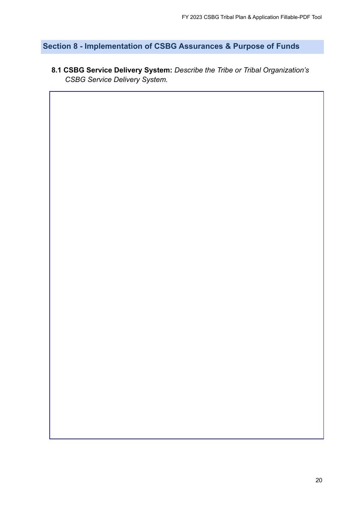# **Section 8 - Implementation of CSBG Assurances & Purpose of Funds**

**8.1 CSBG Service Delivery System:** *Describe the Tribe or Tribal Organization's CSBG Service Delivery System.*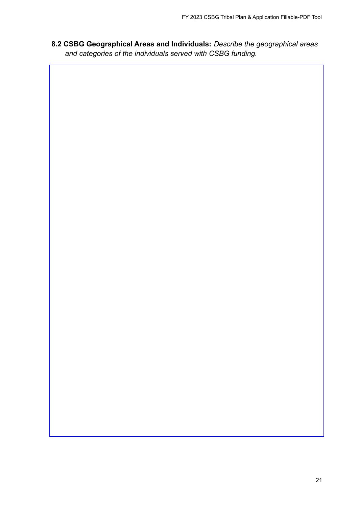**8.2 CSBG Geographical Areas and Individuals:** *Describe the geographical areas and categories of the individuals served with CSBG funding.*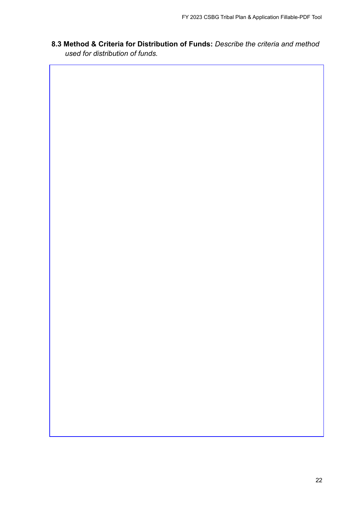**8.3 Method & Criteria for Distribution of Funds:** *Describe the criteria and method used for distribution of funds.*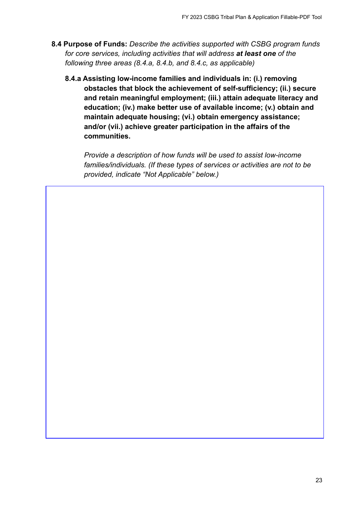- **8.4 Purpose of Funds:** *Describe the activities supported with CSBG program funds for core services, including activities that will address at least one of the following three areas (8.4.a, 8.4.b, and 8.4.c, as applicable)*
	- **8.4.a Assisting low-income families and individuals in: (i.) removing obstacles that block the achievement of self-sufficiency; (ii.) secure and retain meaningful employment; (iii.) attain adequate literacy and education; (iv.) make better use of available income; (v.) obtain and maintain adequate housing; (vi.) obtain emergency assistance; and/or (vii.) achieve greater participation in the affairs of the communities.**

*Provide a description of how funds will be used to assist low-income families/individuals. (If these types of services or activities are not to be provided, indicate "Not Applicable" below.)*

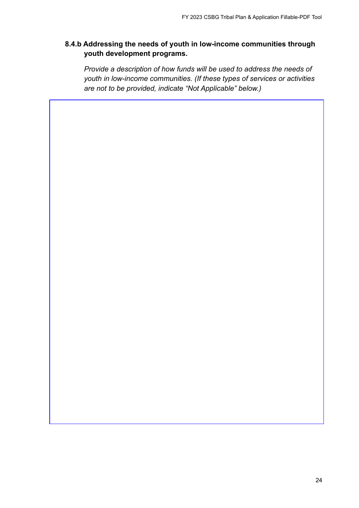## **8.4.b Addressing the needs of youth in low-income communities through youth development programs.**

*Provide a description of how funds will be used to address the needs of youth in low-income communities. (If these types of services or activities are not to be provided, indicate "Not Applicable" below.)*

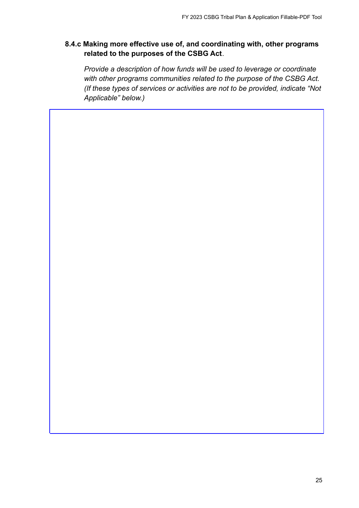## **8.4.c Making more effective use of, and coordinating with, other programs related to the purposes of the CSBG Act**.

*Provide a description of how funds will be used to leverage or coordinate with other programs communities related to the purpose of the CSBG Act. (If these types of services or activities are not to be provided, indicate "Not Applicable" below.)*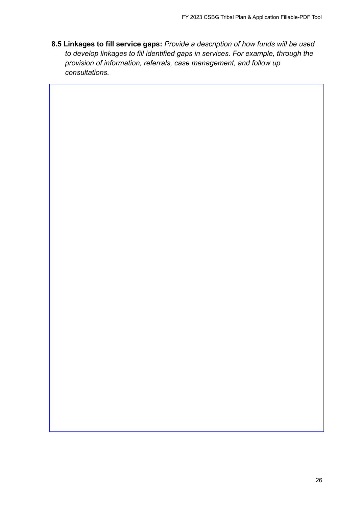**8.5 Linkages to fill service gaps:** *Provide a description of how funds will be used to develop linkages to fill identified gaps in services. For example, through the provision of information, referrals, case management, and follow up consultations.*

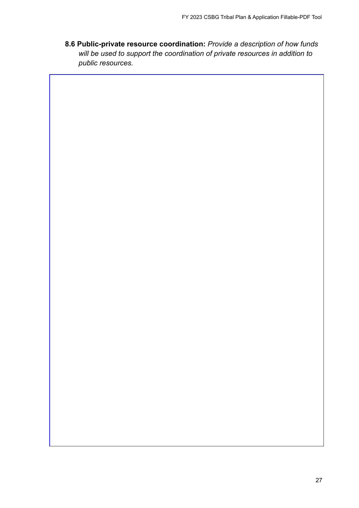**8.6 Public-private resource coordination:** *Provide a description of how funds will be used to support the coordination of private resources in addition to public resources.*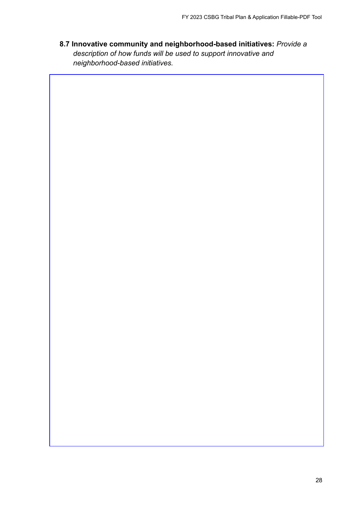**8.7 Innovative community and neighborhood-based initiatives:** *Provide a description of how funds will be used to support innovative and neighborhood-based initiatives.*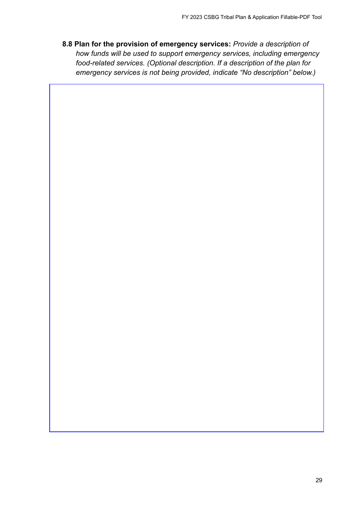**8.8 Plan for the provision of emergency services:** *Provide a description of how funds will be used to support emergency services, including emergency food-related services. (Optional description. If a description of the plan for emergency services is not being provided, indicate "No description" below.)*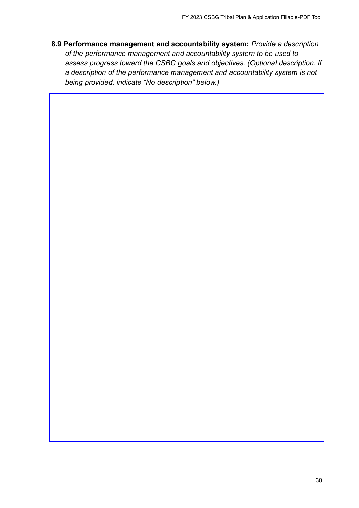**8.9 Performance management and accountability system:** *Provide a description of the performance management and accountability system to be used to assess progress toward the CSBG goals and objectives. (Optional description. If a description of the performance management and accountability system is not being provided, indicate "No description" below.)*

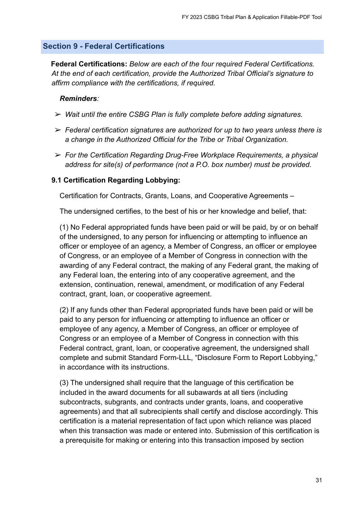### **Section 9 - Federal Certifications**

**Federal Certifications:** *Below are each of the four required Federal Certifications. At the end of each certification, provide the Authorized Tribal Official's signature to affirm compliance with the certifications, if required.*

#### *Reminders:*

- ➢ *Wait until the entire CSBG Plan is fully complete before adding signatures.*
- ➢ *Federal certification signatures are authorized for up to two years unless there is a change in the Authorized Official for the Tribe or Tribal Organization.*
- ➢ *For the Certification Regarding Drug-Free Workplace Requirements, a physical address for site(s) of performance (not a P.O. box number) must be provided.*

#### **9.1 Certification Regarding Lobbying:**

Certification for Contracts, Grants, Loans, and Cooperative Agreements –

The undersigned certifies, to the best of his or her knowledge and belief, that:

(1) No Federal appropriated funds have been paid or will be paid, by or on behalf of the undersigned, to any person for influencing or attempting to influence an officer or employee of an agency, a Member of Congress, an officer or employee of Congress, or an employee of a Member of Congress in connection with the awarding of any Federal contract, the making of any Federal grant, the making of any Federal loan, the entering into of any cooperative agreement, and the extension, continuation, renewal, amendment, or modification of any Federal contract, grant, loan, or cooperative agreement.

(2) If any funds other than Federal appropriated funds have been paid or will be paid to any person for influencing or attempting to influence an officer or employee of any agency, a Member of Congress, an officer or employee of Congress or an employee of a Member of Congress in connection with this Federal contract, grant, loan, or cooperative agreement, the undersigned shall complete and submit Standard Form-LLL, "Disclosure Form to Report Lobbying," in accordance with its instructions.

(3) The undersigned shall require that the language of this certification be included in the award documents for all subawards at all tiers (including subcontracts, subgrants, and contracts under grants, loans, and cooperative agreements) and that all subrecipients shall certify and disclose accordingly. This certification is a material representation of fact upon which reliance was placed when this transaction was made or entered into. Submission of this certification is a prerequisite for making or entering into this transaction imposed by section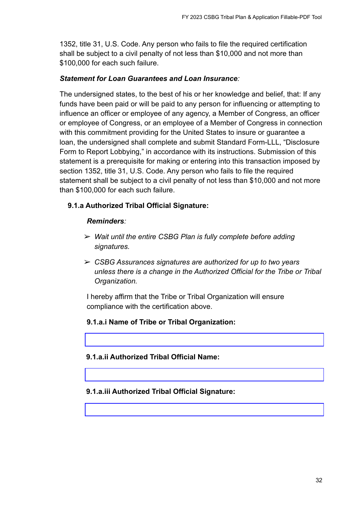1352, title 31, U.S. Code. Any person who fails to file the required certification shall be subject to a civil penalty of not less than \$10,000 and not more than \$100,000 for each such failure.

#### *Statement for Loan Guarantees and Loan Insurance:*

The undersigned states, to the best of his or her knowledge and belief, that: If any funds have been paid or will be paid to any person for influencing or attempting to influence an officer or employee of any agency, a Member of Congress, an officer or employee of Congress, or an employee of a Member of Congress in connection with this commitment providing for the United States to insure or guarantee a loan, the undersigned shall complete and submit Standard Form-LLL, "Disclosure Form to Report Lobbying," in accordance with its instructions. Submission of this statement is a prerequisite for making or entering into this transaction imposed by section 1352, title 31, U.S. Code. Any person who fails to file the required statement shall be subject to a civil penalty of not less than \$10,000 and not more than \$100,000 for each such failure.

## **9.1.a Authorized Tribal Official Signature:**

#### *Reminders:*

- ➢ *Wait until the entire CSBG Plan is fully complete before adding signatures.*
- ➢ *CSBG Assurances signatures are authorized for up to two years unless there is a change in the Authorized Official for the Tribe or Tribal Organization.*

I hereby affirm that the Tribe or Tribal Organization will ensure compliance with the certification above.

## **9.1.a.i Name of Tribe or Tribal Organization:**

#### **9.1.a.ii Authorized Tribal Official Name:**

## **9.1.a.iii Authorized Tribal Official Signature:**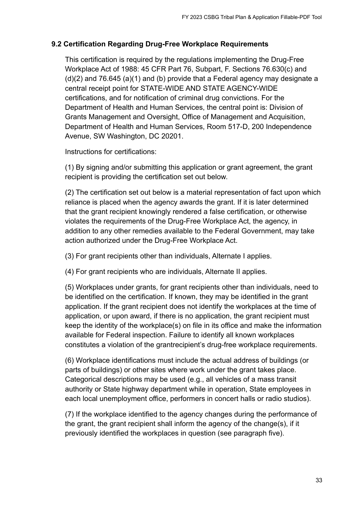#### **9.2 Certification Regarding Drug-Free Workplace Requirements**

This certification is required by the regulations implementing the Drug-Free Workplace Act of 1988: 45 CFR Part 76, Subpart, F. Sections 76.630(c) and (d)(2) and 76.645 (a)(1) and (b) provide that a Federal agency may designate a central receipt point for STATE-WIDE AND STATE AGENCY-WIDE certifications, and for notification of criminal drug convictions. For the Department of Health and Human Services, the central point is: Division of Grants Management and Oversight, Office of Management and Acquisition, Department of Health and Human Services, Room 517-D, 200 Independence Avenue, SW Washington, DC 20201.

Instructions for certifications:

(1) By signing and/or submitting this application or grant agreement, the grant recipient is providing the certification set out below.

(2) The certification set out below is a material representation of fact upon which reliance is placed when the agency awards the grant. If it is later determined that the grant recipient knowingly rendered a false certification, or otherwise violates the requirements of the Drug-Free Workplace Act, the agency, in addition to any other remedies available to the Federal Government, may take action authorized under the Drug-Free Workplace Act.

(3) For grant recipients other than individuals, Alternate I applies.

(4) For grant recipients who are individuals, Alternate II applies.

(5) Workplaces under grants, for grant recipients other than individuals, need to be identified on the certification. If known, they may be identified in the grant application. If the grant recipient does not identify the workplaces at the time of application, or upon award, if there is no application, the grant recipient must keep the identity of the workplace(s) on file in its office and make the information available for Federal inspection. Failure to identify all known workplaces constitutes a violation of the grantrecipient's drug-free workplace requirements.

(6) Workplace identifications must include the actual address of buildings (or parts of buildings) or other sites where work under the grant takes place. Categorical descriptions may be used (e.g., all vehicles of a mass transit authority or State highway department while in operation, State employees in each local unemployment office, performers in concert halls or radio studios).

(7) If the workplace identified to the agency changes during the performance of the grant, the grant recipient shall inform the agency of the change(s), if it previously identified the workplaces in question (see paragraph five).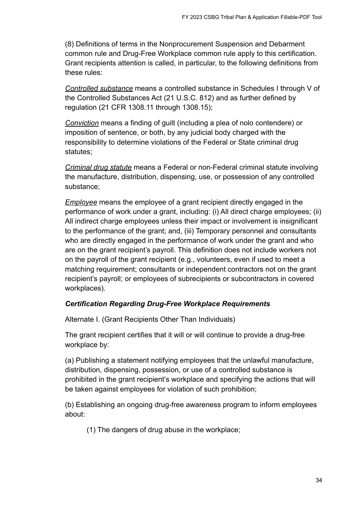(8) Definitions of terms in the Nonprocurement Suspension and Debarment common rule and Drug-Free Workplace common rule apply to this certification. Grant recipients attention is called, in particular, to the following definitions from these rules:

*Controlled substance* means a controlled substance in Schedules I through V of the Controlled Substances Act (21 U.S.C. 812) and as further defined by regulation (21 CFR 1308.11 through 1308.15);

*Conviction* means a finding of guilt (including a plea of nolo contendere) or imposition of sentence, or both, by any judicial body charged with the responsibility to determine violations of the Federal or State criminal drug statutes;

*Criminal drug statute* means a Federal or non-Federal criminal statute involving the manufacture, distribution, dispensing, use, or possession of any controlled substance;

*Employee* means the employee of a grant recipient directly engaged in the performance of work under a grant, including: (i) All direct charge employees; (ii) All indirect charge employees unless their impact or involvement is insignificant to the performance of the grant; and, (iii) Temporary personnel and consultants who are directly engaged in the performance of work under the grant and who are on the grant recipient's payroll. This definition does not include workers not on the payroll of the grant recipient (e.g., volunteers, even if used to meet a matching requirement; consultants or independent contractors not on the grant recipient's payroll; or employees of subrecipients or subcontractors in covered workplaces).

## *Certification Regarding Drug-Free Workplace Requirements*

Alternate I. (Grant Recipients Other Than Individuals)

The grant recipient certifies that it will or will continue to provide a drug-free workplace by:

(a) Publishing a statement notifying employees that the unlawful manufacture, distribution, dispensing, possession, or use of a controlled substance is prohibited in the grant recipient's workplace and specifying the actions that will be taken against employees for violation of such prohibition;

(b) Establishing an ongoing drug-free awareness program to inform employees about:

(1) The dangers of drug abuse in the workplace;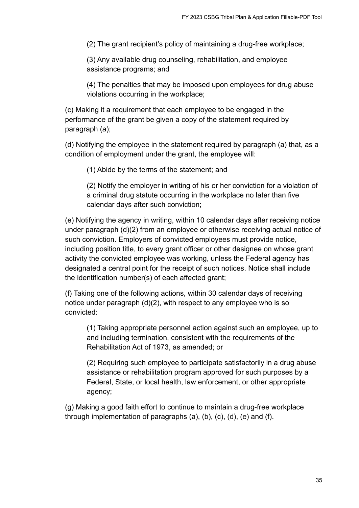(2) The grant recipient's policy of maintaining a drug-free workplace;

(3) Any available drug counseling, rehabilitation, and employee assistance programs; and

(4) The penalties that may be imposed upon employees for drug abuse violations occurring in the workplace;

(c) Making it a requirement that each employee to be engaged in the performance of the grant be given a copy of the statement required by paragraph (a);

(d) Notifying the employee in the statement required by paragraph (a) that, as a condition of employment under the grant, the employee will:

(1) Abide by the terms of the statement; and

(2) Notify the employer in writing of his or her conviction for a violation of a criminal drug statute occurring in the workplace no later than five calendar days after such conviction;

(e) Notifying the agency in writing, within 10 calendar days after receiving notice under paragraph (d)(2) from an employee or otherwise receiving actual notice of such conviction. Employers of convicted employees must provide notice, including position title, to every grant officer or other designee on whose grant activity the convicted employee was working, unless the Federal agency has designated a central point for the receipt of such notices. Notice shall include the identification number(s) of each affected grant;

(f) Taking one of the following actions, within 30 calendar days of receiving notice under paragraph (d)(2), with respect to any employee who is so convicted:

(1) Taking appropriate personnel action against such an employee, up to and including termination, consistent with the requirements of the Rehabilitation Act of 1973, as amended; or

(2) Requiring such employee to participate satisfactorily in a drug abuse assistance or rehabilitation program approved for such purposes by a Federal, State, or local health, law enforcement, or other appropriate agency;

(g) Making a good faith effort to continue to maintain a drug-free workplace through implementation of paragraphs (a), (b), (c), (d), (e) and (f).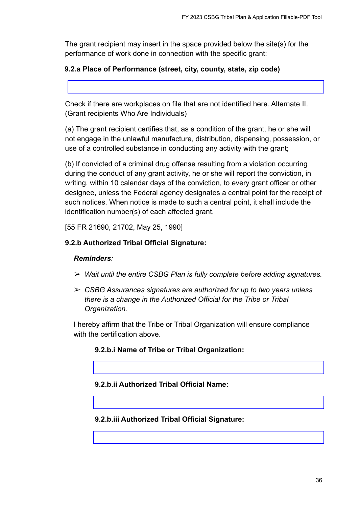The grant recipient may insert in the space provided below the site(s) for the performance of work done in connection with the specific grant:

### **9.2.a Place of Performance (street, city, county, state, zip code)**

Check if there are workplaces on file that are not identified here. Alternate II. (Grant recipients Who Are Individuals)

(a) The grant recipient certifies that, as a condition of the grant, he or she will not engage in the unlawful manufacture, distribution, dispensing, possession, or use of a controlled substance in conducting any activity with the grant;

(b) If convicted of a criminal drug offense resulting from a violation occurring during the conduct of any grant activity, he or she will report the conviction, in writing, within 10 calendar days of the conviction, to every grant officer or other designee, unless the Federal agency designates a central point for the receipt of such notices. When notice is made to such a central point, it shall include the identification number(s) of each affected grant.

[55 FR 21690, 21702, May 25, 1990]

#### **9.2.b Authorized Tribal Official Signature:**

#### *Reminders:*

- ➢ *Wait until the entire CSBG Plan is fully complete before adding signatures.*
- ➢ *CSBG Assurances signatures are authorized for up to two years unless there is a change in the Authorized Official for the Tribe or Tribal Organization.*

I hereby affirm that the Tribe or Tribal Organization will ensure compliance with the certification above.



#### **9.2.b.ii Authorized Tribal Official Name:**

#### **9.2.b.iii Authorized Tribal Official Signature:**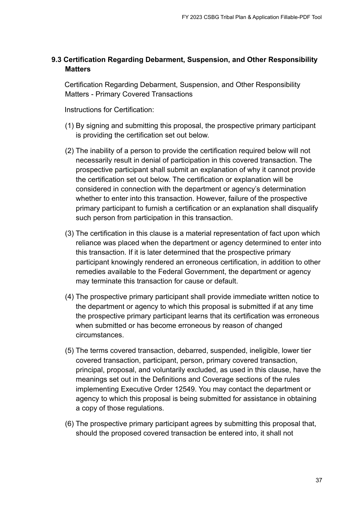### **9.3 Certification Regarding Debarment, Suspension, and Other Responsibility Matters**

Certification Regarding Debarment, Suspension, and Other Responsibility Matters - Primary Covered Transactions

Instructions for Certification:

- (1) By signing and submitting this proposal, the prospective primary participant is providing the certification set out below.
- (2) The inability of a person to provide the certification required below will not necessarily result in denial of participation in this covered transaction. The prospective participant shall submit an explanation of why it cannot provide the certification set out below. The certification or explanation will be considered in connection with the department or agency's determination whether to enter into this transaction. However, failure of the prospective primary participant to furnish a certification or an explanation shall disqualify such person from participation in this transaction.
- (3) The certification in this clause is a material representation of fact upon which reliance was placed when the department or agency determined to enter into this transaction. If it is later determined that the prospective primary participant knowingly rendered an erroneous certification, in addition to other remedies available to the Federal Government, the department or agency may terminate this transaction for cause or default.
- (4) The prospective primary participant shall provide immediate written notice to the department or agency to which this proposal is submitted if at any time the prospective primary participant learns that its certification was erroneous when submitted or has become erroneous by reason of changed circumstances.
- (5) The terms covered transaction, debarred, suspended, ineligible, lower tier covered transaction, participant, person, primary covered transaction, principal, proposal, and voluntarily excluded, as used in this clause, have the meanings set out in the Definitions and Coverage sections of the rules implementing Executive Order 12549. You may contact the department or agency to which this proposal is being submitted for assistance in obtaining a copy of those regulations.
- (6) The prospective primary participant agrees by submitting this proposal that, should the proposed covered transaction be entered into, it shall not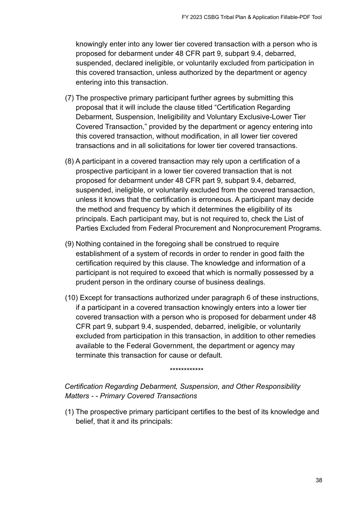knowingly enter into any lower tier covered transaction with a person who is proposed for debarment under 48 CFR part 9, subpart 9.4, debarred, suspended, declared ineligible, or voluntarily excluded from participation in this covered transaction, unless authorized by the department or agency entering into this transaction.

- (7) The prospective primary participant further agrees by submitting this proposal that it will include the clause titled "Certification Regarding Debarment, Suspension, Ineligibility and Voluntary Exclusive-Lower Tier Covered Transaction," provided by the department or agency entering into this covered transaction, without modification, in all lower tier covered transactions and in all solicitations for lower tier covered transactions.
- (8) A participant in a covered transaction may rely upon a certification of a prospective participant in a lower tier covered transaction that is not proposed for debarment under 48 CFR part 9, subpart 9.4, debarred, suspended, ineligible, or voluntarily excluded from the covered transaction, unless it knows that the certification is erroneous. A participant may decide the method and frequency by which it determines the eligibility of its principals. Each participant may, but is not required to, check the List of Parties Excluded from Federal Procurement and Nonprocurement Programs.
- (9) Nothing contained in the foregoing shall be construed to require establishment of a system of records in order to render in good faith the certification required by this clause. The knowledge and information of a participant is not required to exceed that which is normally possessed by a prudent person in the ordinary course of business dealings.
- (10) Except for transactions authorized under paragraph 6 of these instructions, if a participant in a covered transaction knowingly enters into a lower tier covered transaction with a person who is proposed for debarment under 48 CFR part 9, subpart 9.4, suspended, debarred, ineligible, or voluntarily excluded from participation in this transaction, in addition to other remedies available to the Federal Government, the department or agency may terminate this transaction for cause or default.

\*\*\*\*\*\*\*\*\*\*\*\*

*Certification Regarding Debarment, Suspension, and Other Responsibility Matters - - Primary Covered Transactions*

(1) The prospective primary participant certifies to the best of its knowledge and belief, that it and its principals: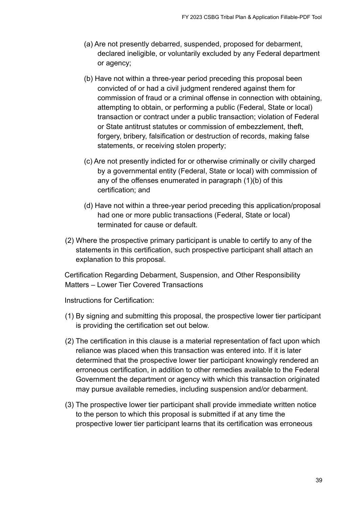- (a) Are not presently debarred, suspended, proposed for debarment, declared ineligible, or voluntarily excluded by any Federal department or agency;
- (b) Have not within a three-year period preceding this proposal been convicted of or had a civil judgment rendered against them for commission of fraud or a criminal offense in connection with obtaining, attempting to obtain, or performing a public (Federal, State or local) transaction or contract under a public transaction; violation of Federal or State antitrust statutes or commission of embezzlement, theft, forgery, bribery, falsification or destruction of records, making false statements, or receiving stolen property;
- (c) Are not presently indicted for or otherwise criminally or civilly charged by a governmental entity (Federal, State or local) with commission of any of the offenses enumerated in paragraph (1)(b) of this certification; and
- (d) Have not within a three-year period preceding this application/proposal had one or more public transactions (Federal, State or local) terminated for cause or default.
- (2) Where the prospective primary participant is unable to certify to any of the statements in this certification, such prospective participant shall attach an explanation to this proposal.

Certification Regarding Debarment, Suspension, and Other Responsibility Matters – Lower Tier Covered Transactions

Instructions for Certification:

- (1) By signing and submitting this proposal, the prospective lower tier participant is providing the certification set out below.
- (2) The certification in this clause is a material representation of fact upon which reliance was placed when this transaction was entered into. If it is later determined that the prospective lower tier participant knowingly rendered an erroneous certification, in addition to other remedies available to the Federal Government the department or agency with which this transaction originated may pursue available remedies, including suspension and/or debarment.
- (3) The prospective lower tier participant shall provide immediate written notice to the person to which this proposal is submitted if at any time the prospective lower tier participant learns that its certification was erroneous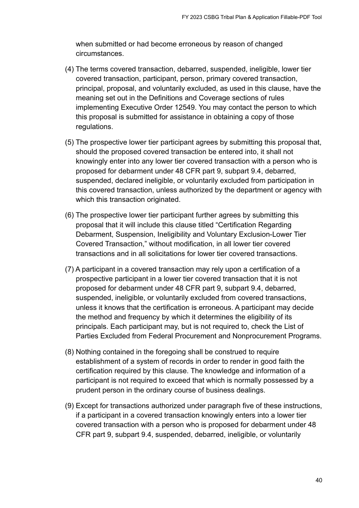when submitted or had become erroneous by reason of changed circumstances.

- (4) The terms covered transaction, debarred, suspended, ineligible, lower tier covered transaction, participant, person, primary covered transaction, principal, proposal, and voluntarily excluded, as used in this clause, have the meaning set out in the Definitions and Coverage sections of rules implementing Executive Order 12549. You may contact the person to which this proposal is submitted for assistance in obtaining a copy of those regulations.
- (5) The prospective lower tier participant agrees by submitting this proposal that, should the proposed covered transaction be entered into, it shall not knowingly enter into any lower tier covered transaction with a person who is proposed for debarment under 48 CFR part 9, subpart 9.4, debarred, suspended, declared ineligible, or voluntarily excluded from participation in this covered transaction, unless authorized by the department or agency with which this transaction originated.
- (6) The prospective lower tier participant further agrees by submitting this proposal that it will include this clause titled "Certification Regarding Debarment, Suspension, Ineligibility and Voluntary Exclusion-Lower Tier Covered Transaction," without modification, in all lower tier covered transactions and in all solicitations for lower tier covered transactions.
- (7) A participant in a covered transaction may rely upon a certification of a prospective participant in a lower tier covered transaction that it is not proposed for debarment under 48 CFR part 9, subpart 9.4, debarred, suspended, ineligible, or voluntarily excluded from covered transactions, unless it knows that the certification is erroneous. A participant may decide the method and frequency by which it determines the eligibility of its principals. Each participant may, but is not required to, check the List of Parties Excluded from Federal Procurement and Nonprocurement Programs.
- (8) Nothing contained in the foregoing shall be construed to require establishment of a system of records in order to render in good faith the certification required by this clause. The knowledge and information of a participant is not required to exceed that which is normally possessed by a prudent person in the ordinary course of business dealings.
- (9) Except for transactions authorized under paragraph five of these instructions, if a participant in a covered transaction knowingly enters into a lower tier covered transaction with a person who is proposed for debarment under 48 CFR part 9, subpart 9.4, suspended, debarred, ineligible, or voluntarily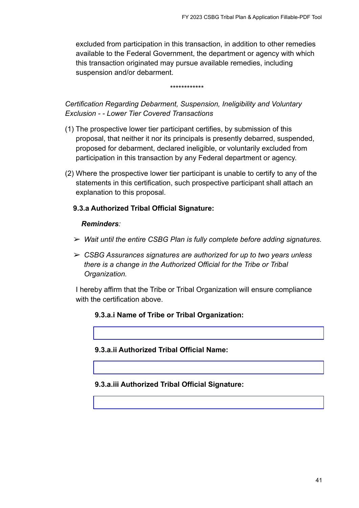excluded from participation in this transaction, in addition to other remedies available to the Federal Government, the department or agency with which this transaction originated may pursue available remedies, including suspension and/or debarment.

#### \*\*\*\*\*\*\*\*\*\*\*\*

*Certification Regarding Debarment, Suspension, Ineligibility and Voluntary Exclusion - - Lower Tier Covered Transactions*

- (1) The prospective lower tier participant certifies, by submission of this proposal, that neither it nor its principals is presently debarred, suspended, proposed for debarment, declared ineligible, or voluntarily excluded from participation in this transaction by any Federal department or agency.
- (2) Where the prospective lower tier participant is unable to certify to any of the statements in this certification, such prospective participant shall attach an explanation to this proposal.

#### **9.3.a Authorized Tribal Official Signature:**

#### *Reminders:*

- ➢ *Wait until the entire CSBG Plan is fully complete before adding signatures.*
- ➢ *CSBG Assurances signatures are authorized for up to two years unless there is a change in the Authorized Official for the Tribe or Tribal Organization.*

I hereby affirm that the Tribe or Tribal Organization will ensure compliance with the certification above.

#### **9.3.a.i Name of Tribe or Tribal Organization:**

#### **9.3.a.ii Authorized Tribal Official Name:**

#### **9.3.a.iii Authorized Tribal Official Signature:**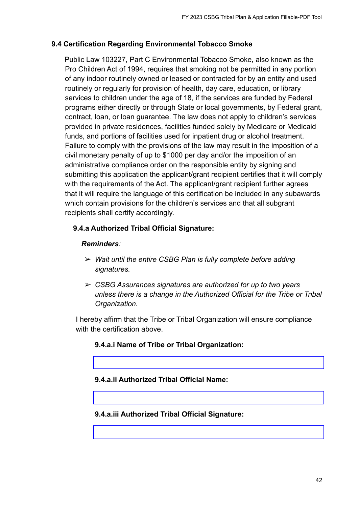## **9.4 Certification Regarding Environmental Tobacco Smoke**

Public Law 103227, Part C Environmental Tobacco Smoke, also known as the Pro Children Act of 1994, requires that smoking not be permitted in any portion of any indoor routinely owned or leased or contracted for by an entity and used routinely or regularly for provision of health, day care, education, or library services to children under the age of 18, if the services are funded by Federal programs either directly or through State or local governments, by Federal grant, contract, loan, or loan guarantee. The law does not apply to children's services provided in private residences, facilities funded solely by Medicare or Medicaid funds, and portions of facilities used for inpatient drug or alcohol treatment. Failure to comply with the provisions of the law may result in the imposition of a civil monetary penalty of up to \$1000 per day and/or the imposition of an administrative compliance order on the responsible entity by signing and submitting this application the applicant/grant recipient certifies that it will comply with the requirements of the Act. The applicant/grant recipient further agrees that it will require the language of this certification be included in any subawards which contain provisions for the children's services and that all subgrant recipients shall certify accordingly.

## **9.4.a Authorized Tribal Official Signature:**

#### *Reminders:*

- ➢ *Wait until the entire CSBG Plan is fully complete before adding signatures.*
- ➢ *CSBG Assurances signatures are authorized for up to two years unless there is a change in the Authorized Official for the Tribe or Tribal Organization.*

I hereby affirm that the Tribe or Tribal Organization will ensure compliance with the certification above.

#### **9.4.a.i Name of Tribe or Tribal Organization:**

**9.4.a.ii Authorized Tribal Official Name:**

#### **9.4.a.iii Authorized Tribal Official Signature:**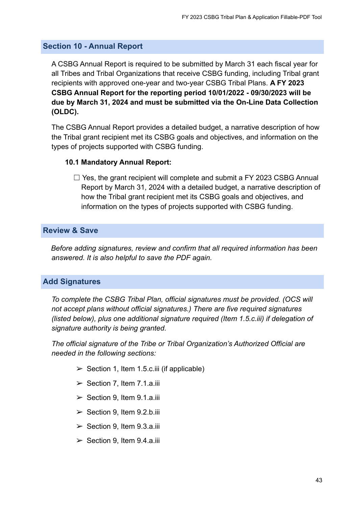## **Section 10 - Annual Report**

A CSBG Annual Report is required to be submitted by March 31 each fiscal year for all Tribes and Tribal Organizations that receive CSBG funding, including Tribal grant recipients with approved one-year and two-year CSBG Tribal Plans. **A FY 2023 CSBG Annual Report for the reporting period 10/01/2022 - 09/30/2023 will be due by March 31, 2024 and must be submitted via the On-Line Data Collection (OLDC).**

The CSBG Annual Report provides a detailed budget, a narrative description of how the Tribal grant recipient met its CSBG goals and objectives, and information on the types of projects supported with CSBG funding.

#### **10.1 Mandatory Annual Report:**

 $\Box$  Yes, the grant recipient will complete and submit a FY 2023 CSBG Annual Report by March 31, 2024 with a detailed budget, a narrative description of how the Tribal grant recipient met its CSBG goals and objectives, and information on the types of projects supported with CSBG funding.

## **Review & Save**

*Before adding signatures, review and confirm that all required information has been answered. It is also helpful to save the PDF again.*

## **Add Signatures**

*To complete the CSBG Tribal Plan, official signatures must be provided. (OCS will not accept plans without official signatures.) There are five required signatures (listed below), plus one additional signature required (Item 1.5.c.iii) if delegation of signature authority is being granted.*

*The official signature of the Tribe or Tribal Organization's Authorized Official are needed in the following sections:*

- $\geq$  Section 1, Item 1.5.c.iii (if applicable)
- $\geq$  Section 7, Item 7.1.a.iii
- $\geq$  Section 9, Item 9.1.a.iii
- $\geq$  Section 9, Item 9.2.b.iii
- $\geq$  Section 9, Item 9.3.a.iii
- $\geq$  Section 9, Item 9.4.a.iii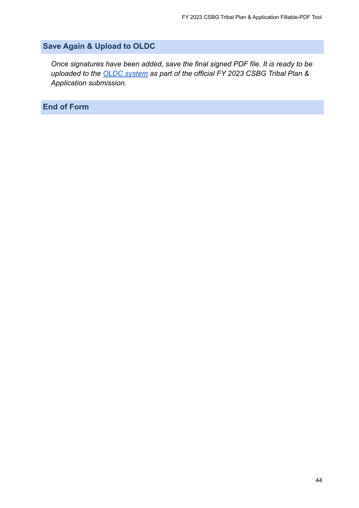# **Save Again & Upload to OLDC**

*Once signatures have been added, save the final signed PDF file. It is ready to be uploaded to the [OLDC system](https://home.grantsolutions.gov/home/) as part of the official FY 2023 CSBG Tribal Plan & Application submission.*

## **End of Form**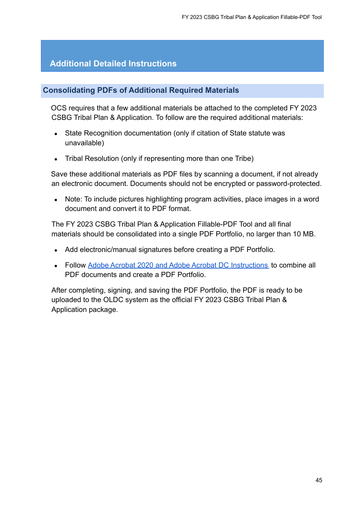# **Additional Detailed Instructions**

## <span id="page-44-0"></span>**Consolidating PDFs of Additional Required Materials**

OCS requires that a few additional materials be attached to the completed FY 2023 CSBG Tribal Plan & Application. To follow are the required additional materials:

- State Recognition documentation (only if citation of State statute was unavailable)
- Tribal Resolution (only if representing more than one Tribe)

Save these additional materials as PDF files by scanning a document, if not already an electronic document. Documents should not be encrypted or password-protected.

• Note: To include pictures highlighting program activities, place images in a word document and convert it to PDF format.

The FY 2023 CSBG Tribal Plan & Application Fillable-PDF Tool and all final materials should be consolidated into a single PDF Portfolio, no larger than 10 MB.

- Add electronic/manual signatures before creating a PDF Portfolio.
- Follow [Adobe Acrobat 2020 and Adobe Acrobat DC Instructions](https://helpx.adobe.com/acrobat/using/create-customize-pdf-portfolios.html#:~:text=Start%20Acrobat%20and%20choose%20File,or%20items%20in%20the%20clipboard.) to combine all PDF documents and create a PDF Portfolio.

After completing, signing, and saving the PDF Portfolio, the PDF is ready to be uploaded to the OLDC system as the official FY 2023 CSBG Tribal Plan & Application package.